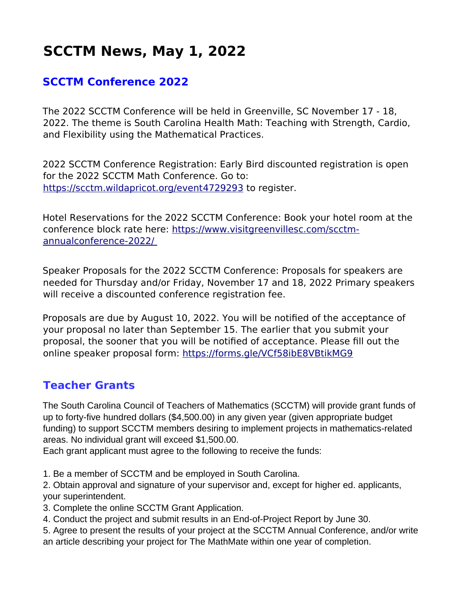# **SCCTM News, May 1, 2022**

## **SCCTM Conference 2022**

The 2022 SCCTM Conference will be held in Greenville, SC November 17 - 18, 2022. The theme is South Carolina Health Math: Teaching with Strength, Cardio, and Flexibility using the Mathematical Practices.

2022 SCCTM Conference Registration: Early Bird discounted registration is open for the 2022 SCCTM Math Conference. Go to: https://scctm.wildapricot.org/event 4729293 to register.

Hotel Reservations for the 2022 SCCTM Conference: Book your hotel room at the conference block rate here: [https://www.visitgreenvillesc.com/scctm](https://www.visitgreenvillesc.com/scctm-annual-conference-2022/) annual conference-2022/

Speaker Proposals for the 2022 SCCTM Conference: Proposals for speakers are needed for Thursday and/or Friday, November 17 and 18, 2022 Primary speakers will receive a discounted conference registration fee.

Proposals are due by August 10, 2022. You will be notified of the acceptance of your proposal no later than September 15. The earlier that you submit your proposal, the sooner that you will be notified of acceptance. Please fill out the online speaker proposal form:<https://forms.gle/VCf58ibE8VBtikMG9>

#### **Teacher Grants**

The South Carolina Council of Teachers of Mathematics (SCCTM) will provide grant funds of up to forty-five hundred dollars (\$4,500.00) in any given year (given appropriate budget funding) to support SCCTM members desiring to implement projects in mathematics-related areas. No individual grant will exceed \$1,500.00.

Each grant applicant must agree to the following to receive the funds:

1. Be a member of SCCTM and be employed in South Carolina.

2. Obtain approval and signature of your supervisor and, except for higher ed. applicants, your superintendent.

- 3. Complete the online SCCTM Grant Application.
- 4. Conduct the project and submit results in an End-of-Project Report by June 30.
- 5. Agree to present the results of your project at the SCCTM Annual Conference, and/or write an article describing your project for The MathMate within one year of completion.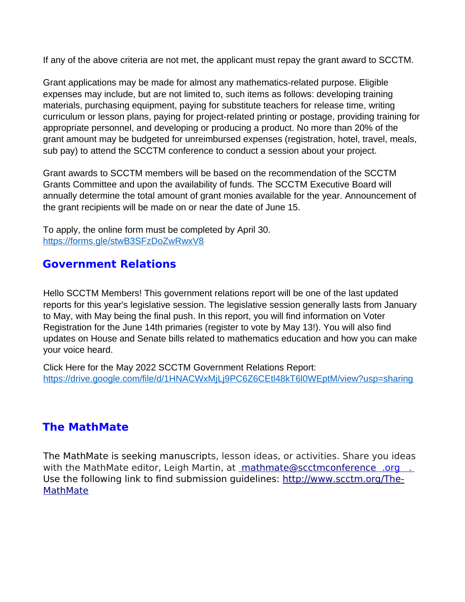If any of the above criteria are not met, the applicant must repay the grant award to SCCTM.

Grant applications may be made for almost any mathematics-related purpose. Eligible expenses may include, but are not limited to, such items as follows: developing training materials, purchasing equipment, paying for substitute teachers for release time, writing curriculum or lesson plans, paying for project-related printing or postage, providing training for appropriate personnel, and developing or producing a product. No more than 20% of the grant amount may be budgeted for unreimbursed expenses (registration, hotel, travel, meals, sub pay) to attend the SCCTM conference to conduct a session about your project.

Grant awards to SCCTM members will be based on the recommendation of the SCCTM Grants Committee and upon the availability of funds. The SCCTM Executive Board will annually determine the total amount of grant monies available for the year. Announcement of the grant recipients will be made on or near the date of June 15.

To apply, the online form must be completed by April 30. <https://forms.gle/stwB3SFzDoZwRwxV8>

## **Government Relations**

Hello SCCTM Members! This government relations report will be one of the last updated reports for this year's legislative session. The legislative session generally lasts from January to May, with May being the final push. In this report, you will find information on Voter Registration for the June 14th primaries (register to vote by May 13!). You will also find updates on House and Senate bills related to mathematics education and how you can make your voice heard.

Click Here for the May 2022 SCCTM Government Relations Report: https://drive.google.com/file/d/1HNACWxMjLj9PC6Z6CEtl48kT6l0WEptM/view?usp=sharing

#### **The MathMate**

The MathMate is seeking manuscripts, lesson ideas, or activities. Share you ideas with the MathMate editor, Leigh Martin, at mathmate@scctmconference .org ... Use the following link to find submission guidelines: [http://www.scctm.org/The-](http://www.scctm.org/The-MathMate)**[MathMate](http://www.scctm.org/The-MathMate)**